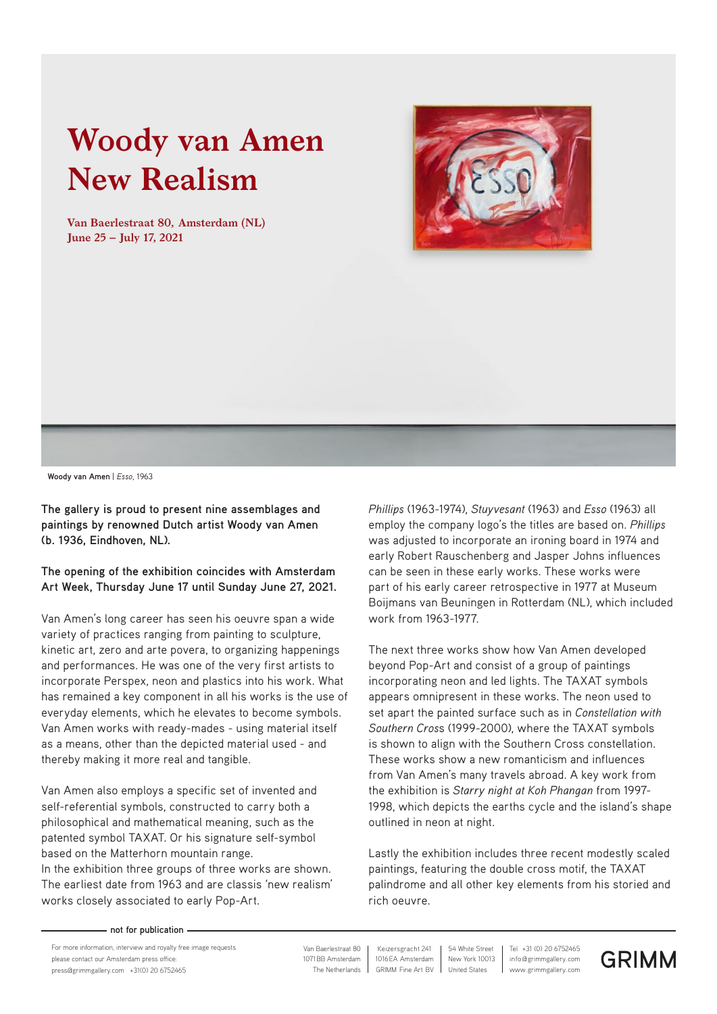# **Woody van Amen New Realism**

**Van Baerlestraat 80, Amsterdam (NL) June 25 – July 17, 2021**





**Woody van Amen** | *Esso,* 1963

**The gallery is proud to present nine assemblages and paintings by renowned Dutch artist Woody van Amen (b. 1936, Eindhoven, NL).** 

**The opening of the exhibition coincides with Amsterdam Art Week, Thursday June 17 until Sunday June 27, 2021.** 

Van Amen's long career has seen his oeuvre span a wide variety of practices ranging from painting to sculpture, kinetic art, zero and arte povera, to organizing happenings and performances. He was one of the very first artists to incorporate Perspex, neon and plastics into his work. What has remained a key component in all his works is the use of everyday elements, which he elevates to become symbols. Van Amen works with ready-mades - using material itself as a means, other than the depicted material used - and thereby making it more real and tangible.

Van Amen also employs a specific set of invented and self-referential symbols, constructed to carry both a philosophical and mathematical meaning, such as the patented symbol TAXAT. Or his signature self-symbol based on the Matterhorn mountain range.

In the exhibition three groups of three works are shown. The earliest date from 1963 and are classis 'new realism' works closely associated to early Pop-Art.

*Phillips* (1963-1974), *Stuyvesant* (1963) and *Esso* (1963) all employ the company logo's the titles are based on. *Phillips* was adjusted to incorporate an ironing board in 1974 and early Robert Rauschenberg and Jasper Johns influences can be seen in these early works. These works were part of his early career retrospective in 1977 at Museum Boijmans van Beuningen in Rotterdam (NL), which included work from 1963-1977.

The next three works show how Van Amen developed beyond Pop-Art and consist of a group of paintings incorporating neon and led lights. The TAXAT symbols appears omnipresent in these works. The neon used to set apart the painted surface such as in *Constellation with Southern Cros*s (1999-2000), where the TAXAT symbols is shown to align with the Southern Cross constellation. These works show a new romanticism and influences from Van Amen's many travels abroad. A key work from the exhibition is *Starry night at Koh Phangan* from 1997- 1998, which depicts the earths cycle and the island's shape outlined in neon at night.

Lastly the exhibition includes three recent modestly scaled paintings, featuring the double cross motif, the TAXAT palindrome and all other key elements from his storied and rich oeuvre.

#### **not for publication**

For more information, interview and royalty free image requests please contact our Amsterdam press office: press@grimmgallery.com +31(0) 20 6752465 www.grimmgallery.com in the Netherlands | GRIMM Fine Art BV | United States | www.grimmgallery.com

 1071BB Amsterdam Van Baerlestraat 80 1016EA Amsterdam Keizersgracht 241

info@grimmgallery.com Tel +31 (0) 20 6752465 New York 10013 54 White Street